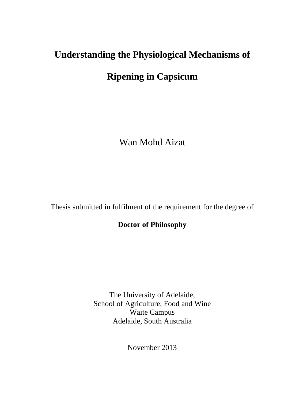# **Understanding the Physiological Mechanisms of**

## **Ripening in Capsicum**

Wan Mohd Aizat

Thesis submitted in fulfilment of the requirement for the degree of

**Doctor of Philosophy** 

The University of Adelaide, School of Agriculture, Food and Wine Waite Campus Adelaide, South Australia

November 2013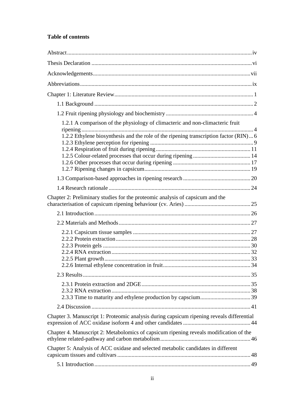### **Table of contents**

| 1.2.1 A comparison of the physiology of climacteric and non-climacteric fruit<br>1.2.2 Ethylene biosynthesis and the role of the ripening transcription factor (RIN)6 |  |  |
|-----------------------------------------------------------------------------------------------------------------------------------------------------------------------|--|--|
|                                                                                                                                                                       |  |  |
|                                                                                                                                                                       |  |  |
|                                                                                                                                                                       |  |  |
|                                                                                                                                                                       |  |  |
|                                                                                                                                                                       |  |  |
|                                                                                                                                                                       |  |  |
|                                                                                                                                                                       |  |  |
| Chapter 2: Preliminary studies for the proteomic analysis of capsicum and the                                                                                         |  |  |
|                                                                                                                                                                       |  |  |
|                                                                                                                                                                       |  |  |
|                                                                                                                                                                       |  |  |
|                                                                                                                                                                       |  |  |
|                                                                                                                                                                       |  |  |
|                                                                                                                                                                       |  |  |
|                                                                                                                                                                       |  |  |
|                                                                                                                                                                       |  |  |
|                                                                                                                                                                       |  |  |
|                                                                                                                                                                       |  |  |
|                                                                                                                                                                       |  |  |
|                                                                                                                                                                       |  |  |
|                                                                                                                                                                       |  |  |
| Chapter 3. Manuscript 1: Proteomic analysis during capsicum ripening reveals differential                                                                             |  |  |
| Chapter 4. Manuscript 2: Metabolomics of capsicum ripening reveals modification of the                                                                                |  |  |
| Chapter 5: Analysis of ACC oxidase and selected metabolic candidates in different                                                                                     |  |  |
|                                                                                                                                                                       |  |  |
|                                                                                                                                                                       |  |  |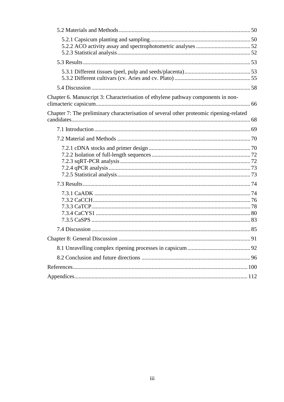| Chapter 6. Manuscript 3: Characterisation of ethylene pathway components in non-        |  |
|-----------------------------------------------------------------------------------------|--|
| Chapter 7: The preliminary characterisation of several other proteomic ripening-related |  |
|                                                                                         |  |
|                                                                                         |  |
|                                                                                         |  |
|                                                                                         |  |
|                                                                                         |  |
|                                                                                         |  |
| 91                                                                                      |  |
|                                                                                         |  |
|                                                                                         |  |
|                                                                                         |  |
|                                                                                         |  |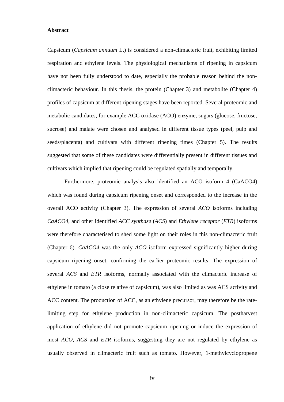#### **Abstract**

Capsicum (*Capsicum annuum* L.) is considered a non-climacteric fruit, exhibiting limited respiration and ethylene levels. The physiological mechanisms of ripening in capsicum have not been fully understood to date, especially the probable reason behind the nonclimacteric behaviour. In this thesis, the protein (Chapter 3) and metabolite (Chapter 4) profiles of capsicum at different ripening stages have been reported. Several proteomic and metabolic candidates, for example ACC oxidase (ACO) enzyme, sugars (glucose, fructose, sucrose) and malate were chosen and analysed in different tissue types (peel, pulp and seeds/placenta) and cultivars with different ripening times (Chapter 5). The results suggested that some of these candidates were differentially present in different tissues and cultivars which implied that ripening could be regulated spatially and temporally.

Furthermore, proteomic analysis also identified an ACO isoform 4 (CaACO4) which was found during capsicum ripening onset and corresponded to the increase in the overall ACO activity (Chapter 3). The expression of several *ACO* isoforms including *CaACO4*, and other identified *ACC synthase* (*ACS*) and *Ethylene receptor* (*ETR*) isoforms were therefore characterised to shed some light on their roles in this non-climacteric fruit (Chapter 6). *CaACO4* was the only *ACO* isoform expressed significantly higher during capsicum ripening onset, confirming the earlier proteomic results. The expression of several *ACS* and *ETR* isoforms, normally associated with the climacteric increase of ethylene in tomato (a close relative of capsicum), was also limited as was ACS activity and ACC content. The production of ACC, as an ethylene precursor, may therefore be the ratelimiting step for ethylene production in non-climacteric capsicum. The postharvest application of ethylene did not promote capsicum ripening or induce the expression of most *ACO*, *ACS* and *ETR* isoforms, suggesting they are not regulated by ethylene as usually observed in climacteric fruit such as tomato. However, 1-methylcyclopropene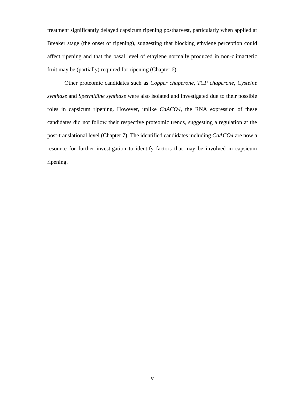treatment significantly delayed capsicum ripening postharvest, particularly when applied at Breaker stage (the onset of ripening), suggesting that blocking ethylene perception could affect ripening and that the basal level of ethylene normally produced in non-climacteric fruit may be (partially) required for ripening (Chapter 6).

Other proteomic candidates such as *Copper chaperone*, *TCP chaperone*, *Cysteine synthase* and *Spermidine synthase* were also isolated and investigated due to their possible roles in capsicum ripening. However, unlike *CaACO4*, the RNA expression of these candidates did not follow their respective proteomic trends, suggesting a regulation at the post-translational level (Chapter 7). The identified candidates including *CaACO4* are now a resource for further investigation to identify factors that may be involved in capsicum ripening.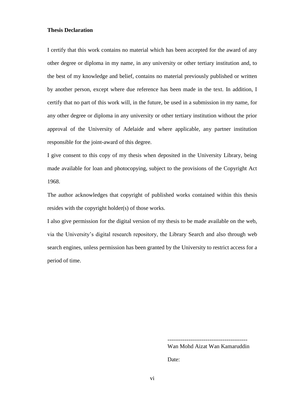#### **Thesis Declaration**

I certify that this work contains no material which has been accepted for the award of any other degree or diploma in my name, in any university or other tertiary institution and, to the best of my knowledge and belief, contains no material previously published or written by another person, except where due reference has been made in the text. In addition, I certify that no part of this work will, in the future, be used in a submission in my name, for any other degree or diploma in any university or other tertiary institution without the prior approval of the University of Adelaide and where applicable, any partner institution responsible for the joint-award of this degree.

I give consent to this copy of my thesis when deposited in the University Library, being made available for loan and photocopying, subject to the provisions of the Copyright Act 1968.

The author acknowledges that copyright of published works contained within this thesis resides with the copyright holder(s) of those works.

I also give permission for the digital version of my thesis to be made available on the web, via the University's digital research repository, the Library Search and also through web search engines, unless permission has been granted by the University to restrict access for a period of time.

------------------------------------------

Wan Mohd Aizat Wan Kamaruddin

Date: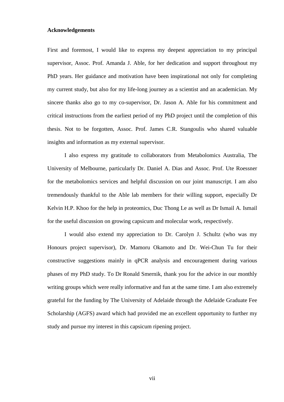#### **Acknowledgements**

First and foremost, I would like to express my deepest appreciation to my principal supervisor, Assoc. Prof. Amanda J. Able, for her dedication and support throughout my PhD years. Her guidance and motivation have been inspirational not only for completing my current study, but also for my life-long journey as a scientist and an academician. My sincere thanks also go to my co-supervisor, Dr. Jason A. Able for his commitment and critical instructions from the earliest period of my PhD project until the completion of this thesis. Not to be forgotten, Assoc. Prof. James C.R. Stangoulis who shared valuable insights and information as my external supervisor.

I also express my gratitude to collaborators from Metabolomics Australia, The University of Melbourne, particularly Dr. Daniel A. Dias and Assoc. Prof. Ute Roessner for the metabolomics services and helpful discussion on our joint manuscript. I am also tremendously thankful to the Able lab members for their willing support, especially Dr Kelvin H.P. Khoo for the help in proteomics, Duc Thong Le as well as Dr Ismail A. Ismail for the useful discussion on growing capsicum and molecular work, respectively.

I would also extend my appreciation to Dr. Carolyn J. Schultz (who was my Honours project supervisor), Dr. Mamoru Okamoto and Dr. Wei-Chun Tu for their constructive suggestions mainly in qPCR analysis and encouragement during various phases of my PhD study. To Dr Ronald Smernik, thank you for the advice in our monthly writing groups which were really informative and fun at the same time. I am also extremely grateful for the funding by The University of Adelaide through the Adelaide Graduate Fee Scholarship (AGFS) award which had provided me an excellent opportunity to further my study and pursue my interest in this capsicum ripening project.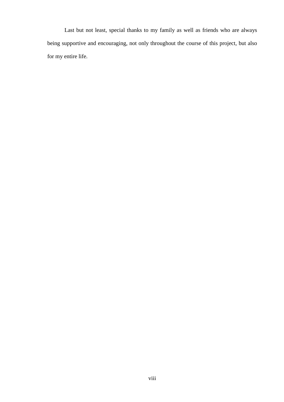Last but not least, special thanks to my family as well as friends who are always being supportive and encouraging, not only throughout the course of this project, but also for my entire life.